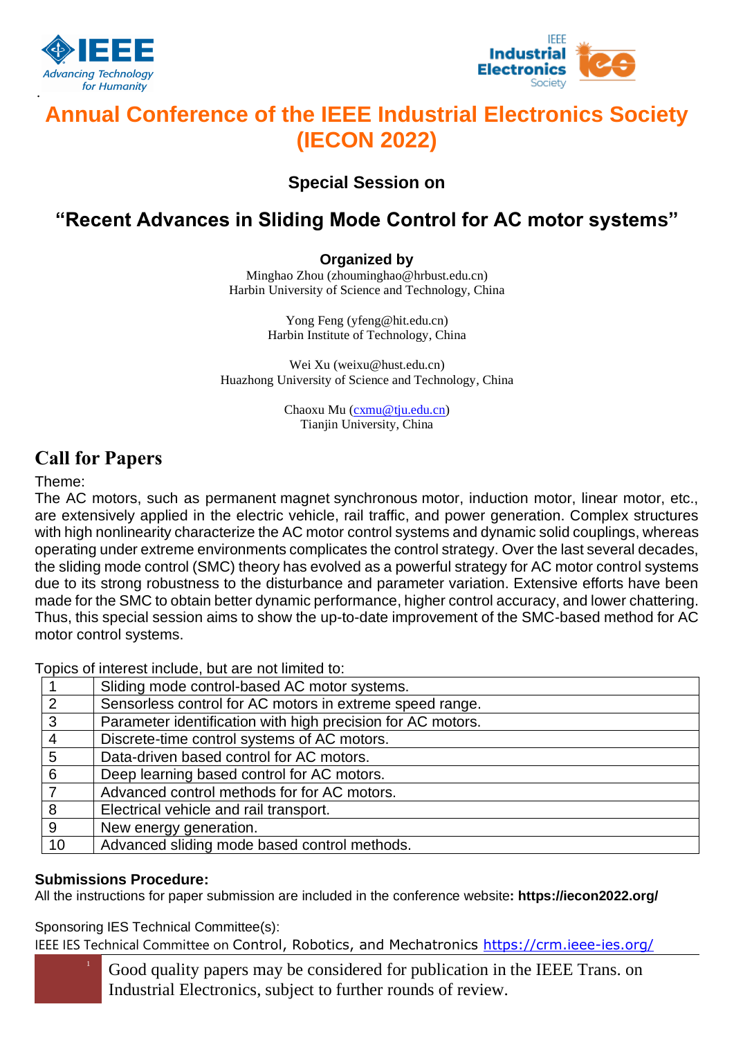

·



# **Annual Conference of the IEEE Industrial Electronics Society (IECON 2022)**

**Special Session on**

## **"Recent Advances in Sliding Mode Control for AC motor systems"**

#### **Organized by**

Minghao Zhou (zhouminghao@hrbust.edu.cn) Harbin University of Science and Technology, China

> Yong Feng (yfeng@hit.edu.cn) Harbin Institute of Technology, China

Wei Xu (weixu@hust.edu.cn) Huazhong University of Science and Technology, China

> Chaoxu Mu [\(cxmu@tju.edu.cn\)](mailto:cxmu@tju.edu.cn) Tianjin University, China

### **Call for Papers**

### Theme:

The AC motors, such as [permanent](javascript:;) [magnet](javascript:;) [synchronous](javascript:;) [motor,](javascript:;) induction motor, linear motor, etc., are extensively applied in the electric vehicle, rail traffic, and power generation. Complex structures with high nonlinearity characterize the AC motor control systems and dynamic solid couplings, whereas operating under extreme environments complicates the control strategy. Over the last several decades, the sliding mode control (SMC) theory has evolved as a powerful strategy for AC motor control systems due to its strong robustness to the disturbance and parameter variation. Extensive efforts have been made for the SMC to obtain better dynamic performance, higher control accuracy, and lower chattering. Thus, this special session aims to show the up-to-date improvement of the SMC-based method for AC motor control systems.

Topics of interest include, but are not limited to:

|               | Sliding mode control-based AC motor systems.                |
|---------------|-------------------------------------------------------------|
| $\mathcal{P}$ | Sensorless control for AC motors in extreme speed range.    |
| 3             | Parameter identification with high precision for AC motors. |
|               | Discrete-time control systems of AC motors.                 |
| 5             | Data-driven based control for AC motors.                    |
| 6             | Deep learning based control for AC motors.                  |
|               | Advanced control methods for for AC motors.                 |
| 8             | Electrical vehicle and rail transport.                      |
| 9             | New energy generation.                                      |
| 10            | Advanced sliding mode based control methods.                |

### **Submissions Procedure:**

All the instructions for paper submission are included in the conference website**: https://iecon2022.org/**

Sponsoring IES Technical Committee(s):

IEEE IES Technical Committee on Control, Robotics, and Mechatronics <https://crm.ieee-ies.org/>

<sup>1</sup> Good quality papers may be considered for publication in the IEEE Trans. on Industrial Electronics, subject to further rounds of review.